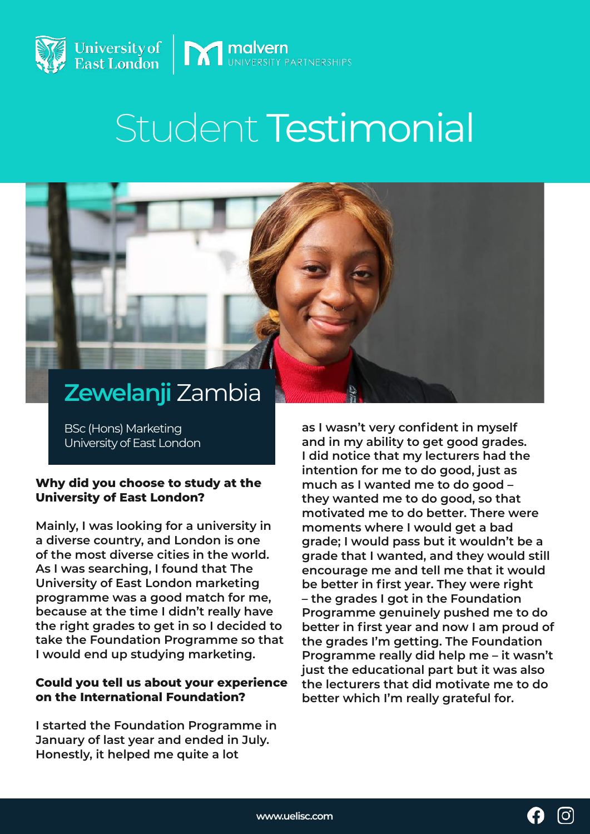

# Student Testimonial

# **Zewelanji** Zambia

BSc (Hons) Marketing University of East London

#### **Why did you choose to study at the University of East London?**

**Mainly, I was looking for a university in a diverse country, and London is one of the most diverse cities in the world. As I was searching, I found that The University of East London marketing programme was a good match for me, because at the time I didn't really have the right grades to get in so I decided to take the Foundation Programme so that I would end up studying marketing.** 

## **Could you tell us about your experience on the International Foundation?**

**I started the Foundation Programme in January of last year and ended in July. Honestly, it helped me quite a lot** 

**as I wasn't very confident in myself and in my ability to get good grades. I did notice that my lecturers had the intention for me to do good, just as much as I wanted me to do good – they wanted me to do good, so that motivated me to do better. There were moments where I would get a bad grade; I would pass but it wouldn't be a grade that I wanted, and they would still encourage me and tell me that it would be better in first year. They were right – the grades I got in the Foundation Programme genuinely pushed me to do better in first year and now I am proud of the grades I'm getting. The Foundation Programme really did help me – it wasn't just the educational part but it was also the lecturers that did motivate me to do better which I'm really grateful for.**